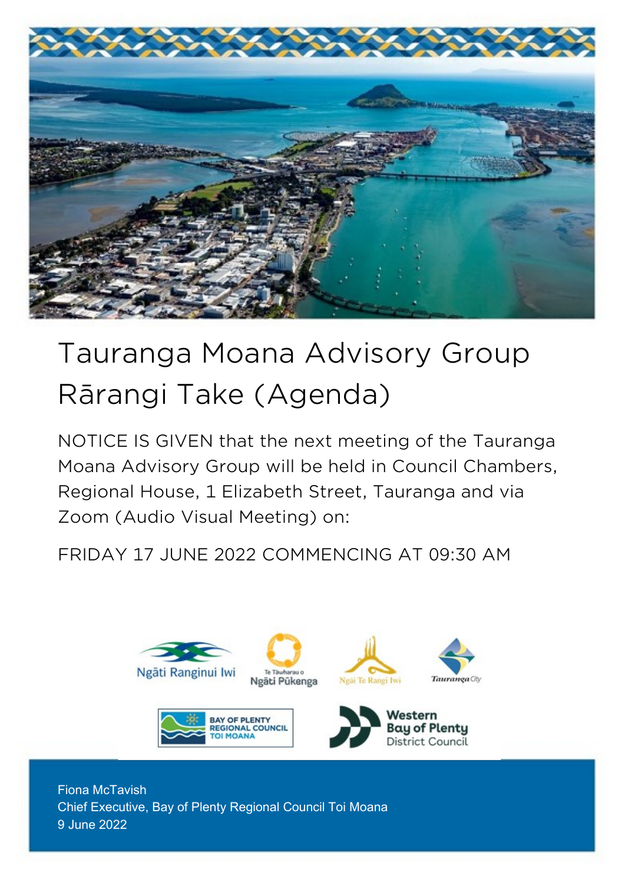

# Tauranga Moana Advisory Group Rārangi Take (Agenda)

NOTICE IS GIVEN that the next meeting of the Tauranga Moana Advisory Group will be held in Council Chambers, Regional House, 1 Elizabeth Street, Tauranga and via Zoom (Audio Visual Meeting) on:

FRIDAY 17 JUNE 2022 COMMENCING AT 09:30 AM



Fiona McTavish Chief Executive, Bay of Plenty Regional Council Toi Moana 9 June 2022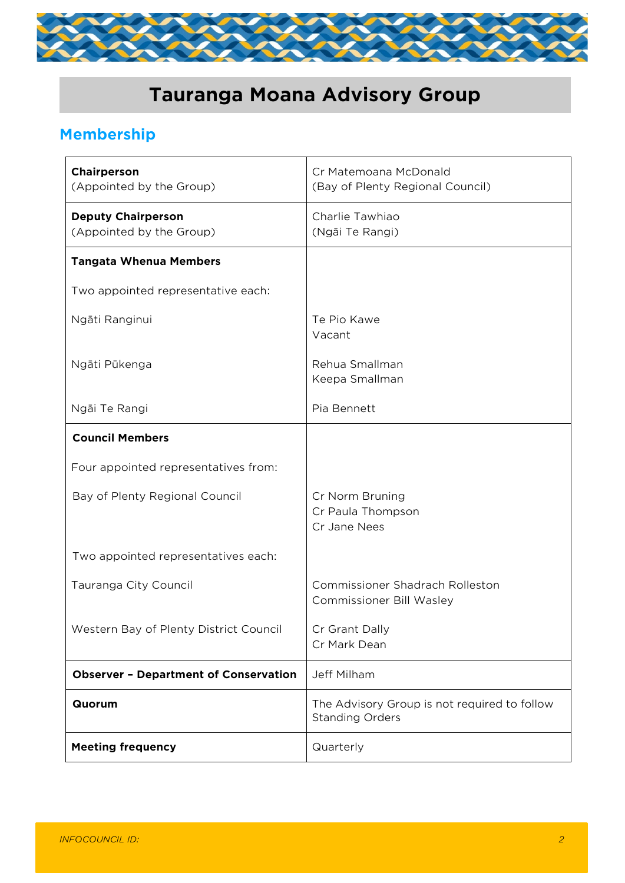

# **Tauranga Moana Advisory Group**

# **Membership**

| Chairperson<br>(Appointed by the Group)               | Cr Matemoana McDonald<br>(Bay of Plenty Regional Council)                 |
|-------------------------------------------------------|---------------------------------------------------------------------------|
| <b>Deputy Chairperson</b><br>(Appointed by the Group) | Charlie Tawhiao<br>(Ngāi Te Rangi)                                        |
| <b>Tangata Whenua Members</b>                         |                                                                           |
| Two appointed representative each:                    |                                                                           |
| Ngāti Ranginui                                        | Te Pio Kawe<br>Vacant                                                     |
| Ngāti Pūkenga                                         | Rehua Smallman<br>Keepa Smallman                                          |
| Ngāi Te Rangi                                         | Pia Bennett                                                               |
| <b>Council Members</b>                                |                                                                           |
| Four appointed representatives from:                  |                                                                           |
| Bay of Plenty Regional Council                        | Cr Norm Bruning<br>Cr Paula Thompson<br>Cr Jane Nees                      |
| Two appointed representatives each:                   |                                                                           |
| Tauranga City Council                                 | <b>Commissioner Shadrach Rolleston</b><br><b>Commissioner Bill Wasley</b> |
| Western Bay of Plenty District Council                | Cr Grant Dally<br>Cr Mark Dean                                            |
| <b>Observer - Department of Conservation</b>          | Jeff Milham                                                               |
| Quorum                                                | The Advisory Group is not required to follow<br><b>Standing Orders</b>    |
| <b>Meeting frequency</b>                              | Quarterly                                                                 |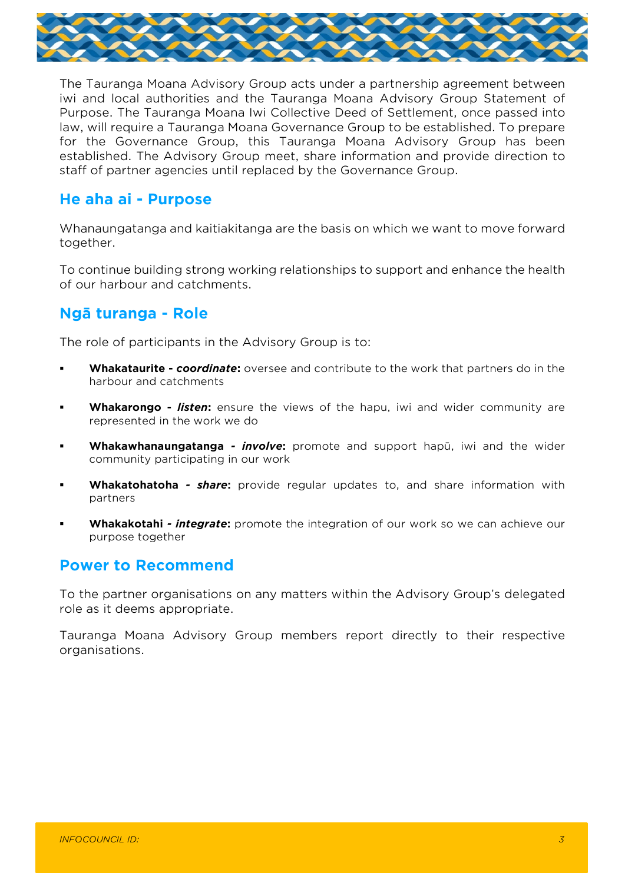

The Tauranga Moana Advisory Group acts under a partnership agreement between iwi and local authorities and the Tauranga Moana Advisory Group Statement of Purpose. The Tauranga Moana Iwi Collective Deed of Settlement, once passed into law, will require a Tauranga Moana Governance Group to be established. To prepare for the Governance Group, this Tauranga Moana Advisory Group has been established. The Advisory Group meet, share information and provide direction to staff of partner agencies until replaced by the Governance Group.

#### **He aha ai - Purpose**

Whanaungatanga and kaitiakitanga are the basis on which we want to move forward together.

To continue building strong working relationships to support and enhance the health of our harbour and catchments.

# **Ngā turanga - Role**

The role of participants in the Advisory Group is to:

- **Whakataurite** *coordinate*: oversee and contribute to the work that partners do in the harbour and catchments
- Whakarongo *listen*: ensure the views of the hapu, iwi and wider community are represented in the work we do
- **Whakawhanaungatanga** *- involve***:** promote and support hapū, iwi and the wider community participating in our work
- Whakatohatoha share: provide regular updates to, and share information with partners
- **Whakakotahi** *-* **integrate:** promote the integration of our work so we can achieve our purpose together

## **Power to Recommend**

To the partner organisations on any matters within the Advisory Group's delegated role as it deems appropriate.

Tauranga Moana Advisory Group members report directly to their respective organisations.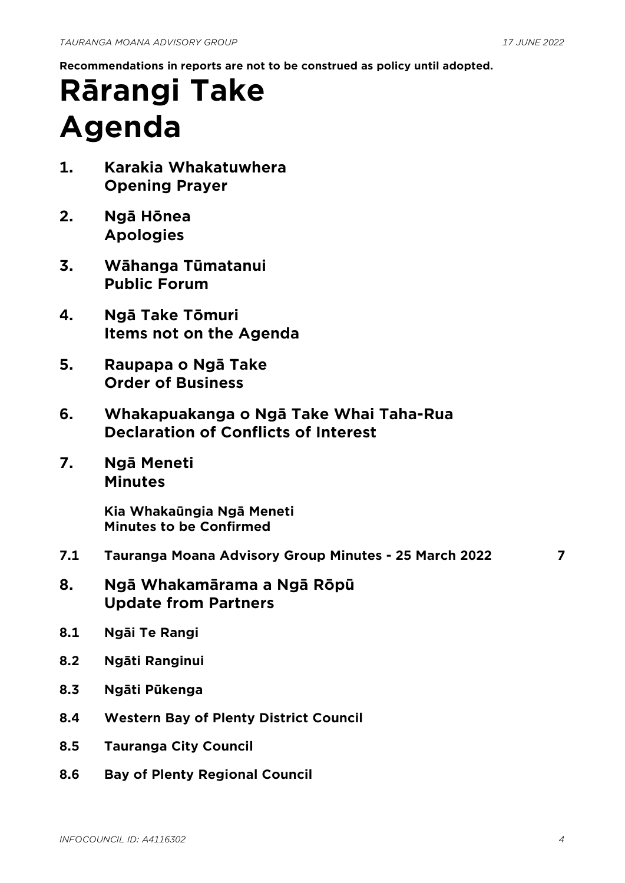**Recommendations in reports are not to be construed as policy until adopted.**

# **Rārangi Take Agenda**

- **1. Karakia Whakatuwhera Opening Prayer**
- **2. Ngā Hōnea Apologies**
- **3. Wāhanga Tūmatanui Public Forum**
- **4. Ngā Take Tōmuri Items not on the Agenda**
- **5. Raupapa o Ngā Take Order of Business**
- **6. Whakapuakanga o Ngā Take Whai Taha-Rua Declaration of Conflicts of Interest**
- **7. Ngā Meneti Minutes**

**Kia Whakaūngia Ngā Meneti Minutes to be Confirmed**

- **7.1 Tauranga Moana Advisory Group Minutes - 25 March 2022 [7](#page-6-0)**
- 

- **8. Ngā Whakamārama a Ngā Rōpū Update from Partners**
- **8.1 Ngāi Te Rangi**
- **8.2 Ngāti Ranginui**
- **8.3 Ngāti Pūkenga**
- **8.4 Western Bay of Plenty District Council**
- **8.5 Tauranga City Council**
- **8.6 Bay of Plenty Regional Council**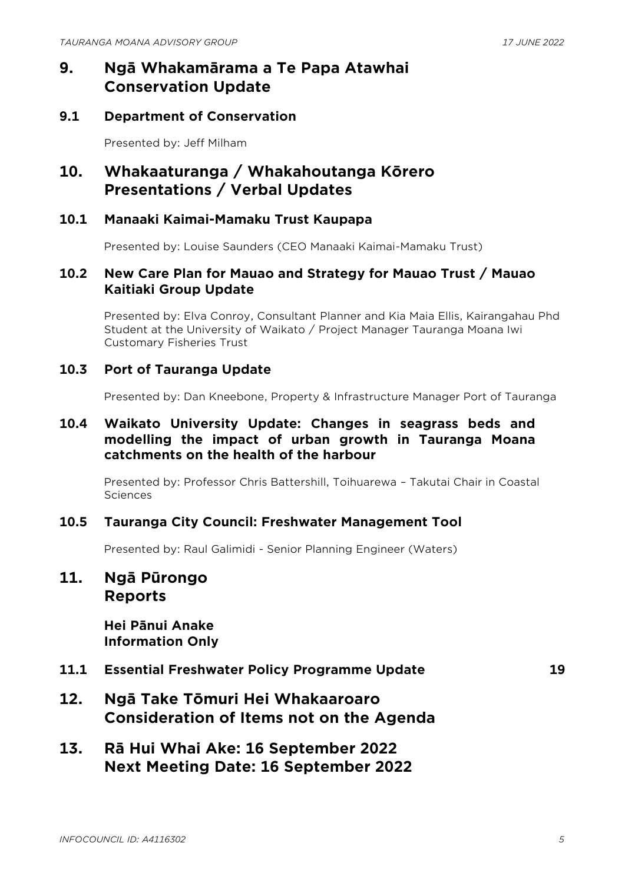# **9. Ngā Whakamārama a Te Papa Atawhai Conservation Update**

#### **9.1 Department of Conservation**

Presented by: Jeff Milham

## **10. Whakaaturanga / Whakahoutanga Kōrero Presentations / Verbal Updates**

#### **10.1 Manaaki Kaimai-Mamaku Trust Kaupapa**

Presented by: Louise Saunders (CEO Manaaki Kaimai-Mamaku Trust)

#### **10.2 New Care Plan for Mauao and Strategy for Mauao Trust / Mauao Kaitiaki Group Update**

Presented by: Elva Conroy, Consultant Planner and Kia Maia Ellis, Kairangahau Phd Student at the University of Waikato / Project Manager Tauranga Moana Iwi Customary Fisheries Trust

#### **10.3 Port of Tauranga Update**

Presented by: Dan Kneebone, Property & Infrastructure Manager Port of Tauranga

#### **10.4 Waikato University Update: Changes in seagrass beds and modelling the impact of urban growth in Tauranga Moana catchments on the health of the harbour**

Presented by: Professor Chris Battershill, Toihuarewa – Takutai Chair in Coastal **Sciences** 

#### **10.5 Tauranga City Council: Freshwater Management Tool**

Presented by: Raul Galimidi - Senior Planning Engineer (Waters)

#### **11. Ngā Pūrongo Reports**

**Hei Pānui Anake Information Only**

**11.1 Essential Freshwater Policy Programme Update [19](#page-18-0)**

- **12. Ngā Take Tōmuri Hei Whakaaroaro Consideration of Items not on the Agenda**
- **13. Rā Hui Whai Ake: 16 September 2022 Next Meeting Date: 16 September 2022**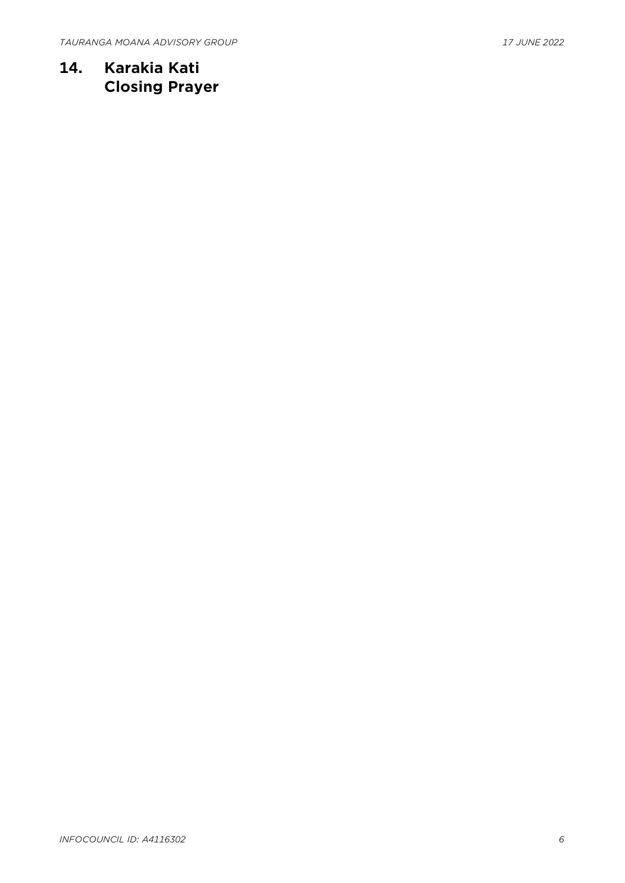**14. Karakia Kati Closing Prayer**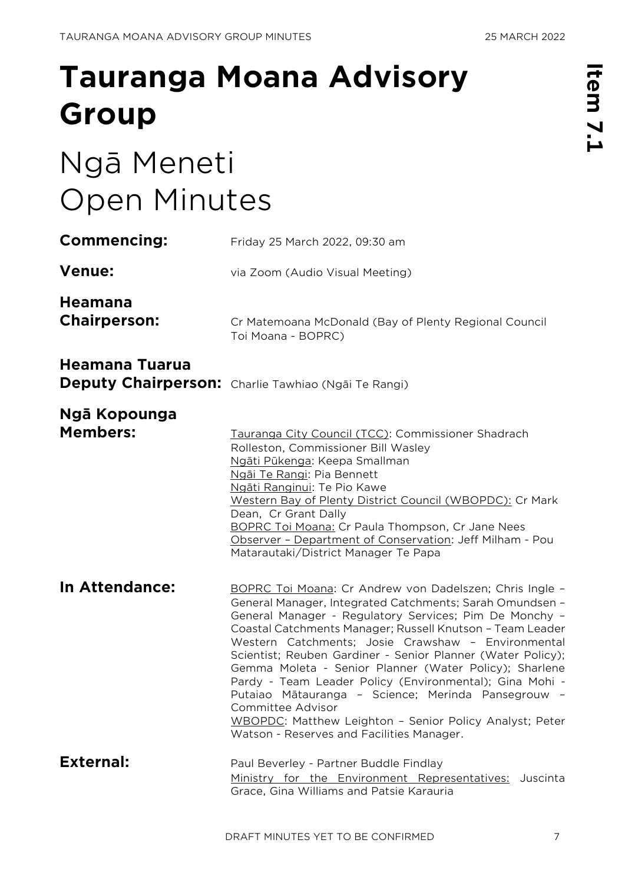# <span id="page-6-0"></span>**Tauranga Moana Advisory Group**

# Ngā Meneti Open Minutes

| <b>Commencing:</b>                    | Friday 25 March 2022, 09:30 am                                                                                                                                                                                                                                                                                                                                                                                                                                                                                                                                                                                                                                          |
|---------------------------------------|-------------------------------------------------------------------------------------------------------------------------------------------------------------------------------------------------------------------------------------------------------------------------------------------------------------------------------------------------------------------------------------------------------------------------------------------------------------------------------------------------------------------------------------------------------------------------------------------------------------------------------------------------------------------------|
| <b>Venue:</b>                         | via Zoom (Audio Visual Meeting)                                                                                                                                                                                                                                                                                                                                                                                                                                                                                                                                                                                                                                         |
| <b>Heamana</b><br><b>Chairperson:</b> | Cr Matemoana McDonald (Bay of Plenty Regional Council<br>Toi Moana - BOPRC)                                                                                                                                                                                                                                                                                                                                                                                                                                                                                                                                                                                             |
| Heamana Tuarua                        | Deputy Chairperson: Charlie Tawhiao (Ngāi Te Rangi)                                                                                                                                                                                                                                                                                                                                                                                                                                                                                                                                                                                                                     |
| Ngā Kopounga<br><b>Members:</b>       | Tauranga City Council (TCC): Commissioner Shadrach<br>Rolleston, Commissioner Bill Wasley<br>Ngāti Pūkenga: Keepa Smallman<br>Ngāi Te Rangi: Pia Bennett<br>Ngāti Ranginui: Te Pio Kawe<br>Western Bay of Plenty District Council (WBOPDC): Cr Mark<br>Dean, Cr Grant Dally<br><b>BOPRC Toi Moana: Cr Paula Thompson, Cr Jane Nees</b><br>Observer - Department of Conservation: Jeff Milham - Pou<br>Matarautaki/District Manager Te Papa                                                                                                                                                                                                                              |
| In Attendance:                        | BOPRC Toi Moana: Cr Andrew von Dadelszen; Chris Ingle -<br>General Manager, Integrated Catchments; Sarah Omundsen -<br>General Manager - Regulatory Services; Pim De Monchy -<br>Coastal Catchments Manager; Russell Knutson - Team Leader<br>Western Catchments; Josie Crawshaw - Environmental<br>Scientist; Reuben Gardiner - Senior Planner (Water Policy);<br>Gemma Moleta - Senior Planner (Water Policy); Sharlene<br>Pardy - Team Leader Policy (Environmental); Gina Mohi -<br>Putaiao Mātauranga - Science; Merinda Pansegrouw -<br>Committee Advisor<br>WBOPDC: Matthew Leighton - Senior Policy Analyst; Peter<br>Watson - Reserves and Facilities Manager. |
| <b>External:</b>                      | Paul Beverley - Partner Buddle Findlay<br>Ministry for the Environment Representatives: Juscinta<br>Grace, Gina Williams and Patsie Karauria                                                                                                                                                                                                                                                                                                                                                                                                                                                                                                                            |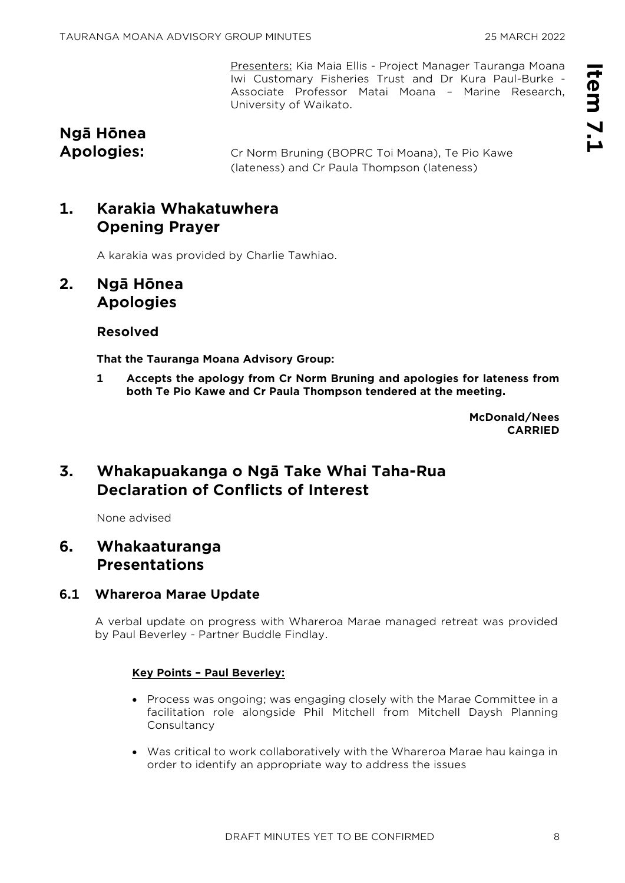Presenters: Kia Maia Ellis - Project Manager Tauranga Moana Iwi Customary Fisheries Trust and Dr Kura Paul-Burke - Associate Professor Matai Moana – Marine Research, University of Waikato.

# **Ngā Hōnea**

**Apologies:** Cr Norm Bruning (BOPRC Toi Moana), Te Pio Kawe (lateness) and Cr Paula Thompson (lateness)

# **1. Karakia Whakatuwhera Opening Prayer**

A karakia was provided by Charlie Tawhiao.

#### **2. Ngā Hōnea Apologies**

#### **Resolved**

**That the Tauranga Moana Advisory Group:**

**1 Accepts the apology from Cr Norm Bruning and apologies for lateness from both Te Pio Kawe and Cr Paula Thompson tendered at the meeting.**

> **McDonald/Nees CARRIED**

# **3. Whakapuakanga o Ngā Take Whai Taha-Rua Declaration of Conflicts of Interest**

None advised

### **6. Whakaaturanga Presentations**

#### **6.1 Whareroa Marae Update**

A verbal update on progress with Whareroa Marae managed retreat was provided by Paul Beverley - Partner Buddle Findlay.

#### **Key Points – Paul Beverley:**

- Process was ongoing; was engaging closely with the Marae Committee in a facilitation role alongside Phil Mitchell from Mitchell Daysh Planning Consultancy
- Was critical to work collaboratively with the Whareroa Marae hau kainga in order to identify an appropriate way to address the issues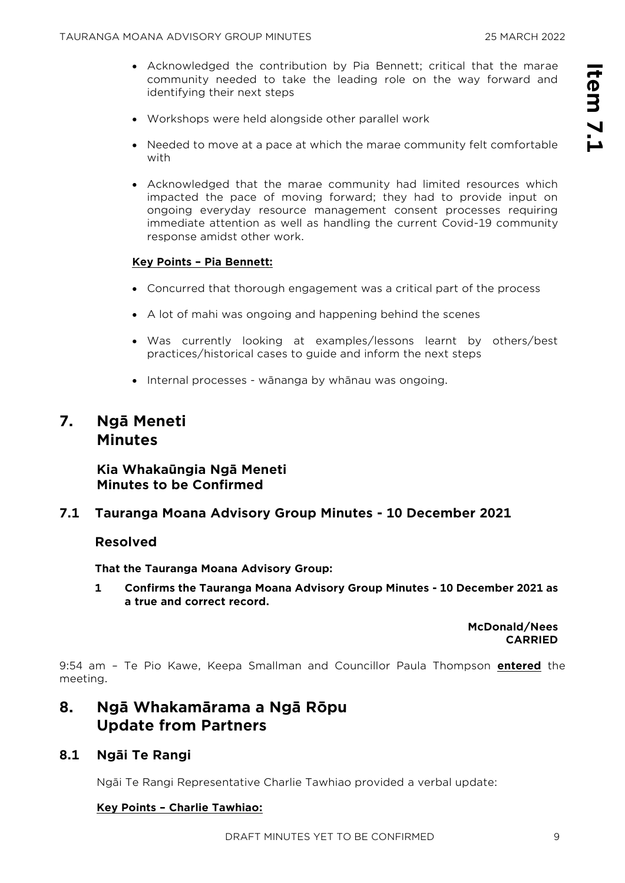- Acknowledged the contribution by Pia Bennett; critical that the marae community needed to take the leading role on the way forward and identifying their next steps
- Workshops were held alongside other parallel work
- Needed to move at a pace at which the marae community felt comfortable with
- Acknowledged that the marae community had limited resources which impacted the pace of moving forward; they had to provide input on ongoing everyday resource management consent processes requiring immediate attention as well as handling the current Covid-19 community response amidst other work.

#### **Key Points – Pia Bennett:**

- Concurred that thorough engagement was a critical part of the process
- A lot of mahi was ongoing and happening behind the scenes
- Was currently looking at examples/lessons learnt by others/best practices/historical cases to guide and inform the next steps
- Internal processes wānanga by whānau was ongoing.

#### **7. Ngā Meneti Minutes**

#### **Kia Whakaūngia Ngā Meneti Minutes to be Confirmed**

**7.1 Tauranga Moana Advisory Group Minutes - 10 December 2021**

#### **Resolved**

**That the Tauranga Moana Advisory Group:**

**1 Confirms the Tauranga Moana Advisory Group Minutes - 10 December 2021 as a true and correct record.**

> **McDonald/Nees CARRIED**

9:54 am – Te Pio Kawe, Keepa Smallman and Councillor Paula Thompson **entered** the meeting.

## **8. Ngā Whakamārama a Ngā Rōpu Update from Partners**

#### **8.1 Ngāi Te Rangi**

Ngāi Te Rangi Representative Charlie Tawhiao provided a verbal update:

#### **Key Points – Charlie Tawhiao:**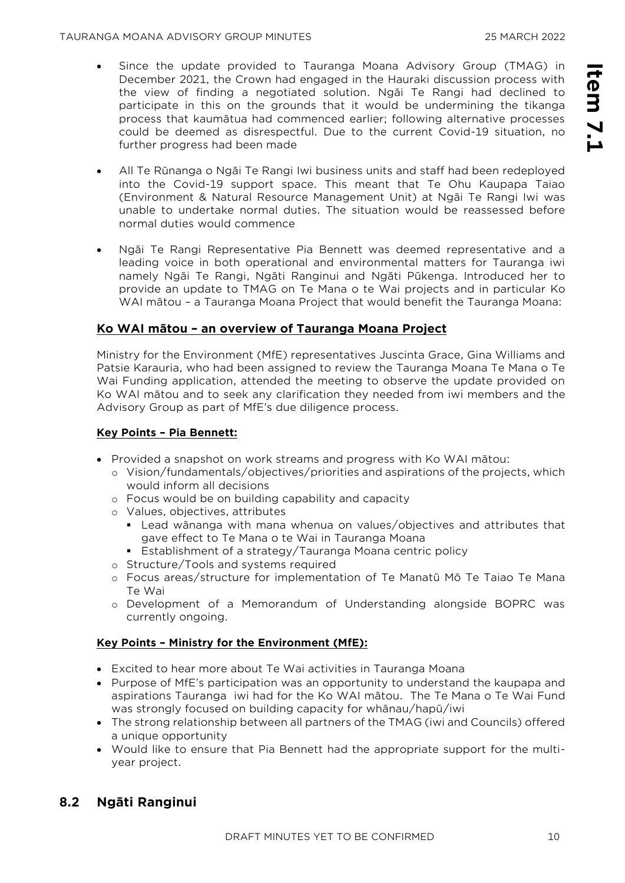**Item 7.1**

Item 7.1

- Since the update provided to Tauranga Moana Advisory Group (TMAG) in December 2021, the Crown had engaged in the Hauraki discussion process with the view of finding a negotiated solution. Ngāi Te Rangi had declined to participate in this on the grounds that it would be undermining the tikanga process that kaumātua had commenced earlier; following alternative processes could be deemed as disrespectful. Due to the current Covid-19 situation, no further progress had been made
- All Te Rūnanga o Ngāi Te Rangi Iwi business units and staff had been redeployed into the Covid-19 support space. This meant that Te Ohu Kaupapa Taiao (Environment & Natural Resource Management Unit) at Ngāi Te Rangi Iwi was unable to undertake normal duties. The situation would be reassessed before normal duties would commence
- Ngāi Te Rangi Representative Pia Bennett was deemed representative and a leading voice in both operational and environmental matters for Tauranga iwi namely Ngāi Te Rangi, Ngāti Ranginui and Ngāti Pūkenga. Introduced her to provide an update to TMAG on Te Mana o te Wai projects and in particular Ko WAI mātou – a Tauranga Moana Project that would benefit the Tauranga Moana:

#### **Ko WAI mātou – an overview of Tauranga Moana Project**

Ministry for the Environment (MfE) representatives Juscinta Grace, Gina Williams and Patsie Karauria, who had been assigned to review the Tauranga Moana Te Mana o Te Wai Funding application, attended the meeting to observe the update provided on Ko WAI mātou and to seek any clarification they needed from iwi members and the Advisory Group as part of MfE's due diligence process.

#### **Key Points – Pia Bennett:**

- Provided a snapshot on work streams and progress with Ko WAI mātou:
	- o Vision/fundamentals/objectives/priorities and aspirations of the projects, which would inform all decisions
	- o Focus would be on building capability and capacity
	- o Values, objectives, attributes
		- Lead wānanga with mana whenua on values/objectives and attributes that gave effect to Te Mana o te Wai in Tauranga Moana
		- Establishment of a strategy/Tauranga Moana centric policy
	- o Structure/Tools and systems required
	- o Focus areas/structure for implementation of Te Manatū Mō Te Taiao Te Mana Te Wai
	- o Development of a Memorandum of Understanding alongside BOPRC was currently ongoing.

#### **Key Points – Ministry for the Environment (MfE):**

- Excited to hear more about Te Wai activities in Tauranga Moana
- Purpose of MfE's participation was an opportunity to understand the kaupapa and aspirations Tauranga iwi had for the Ko WAI mātou. The Te Mana o Te Wai Fund was strongly focused on building capacity for whānau/hapū/iwi
- The strong relationship between all partners of the TMAG (iwi and Councils) offered a unique opportunity
- Would like to ensure that Pia Bennett had the appropriate support for the multiyear project.

#### **8.2 Ngāti Ranginui**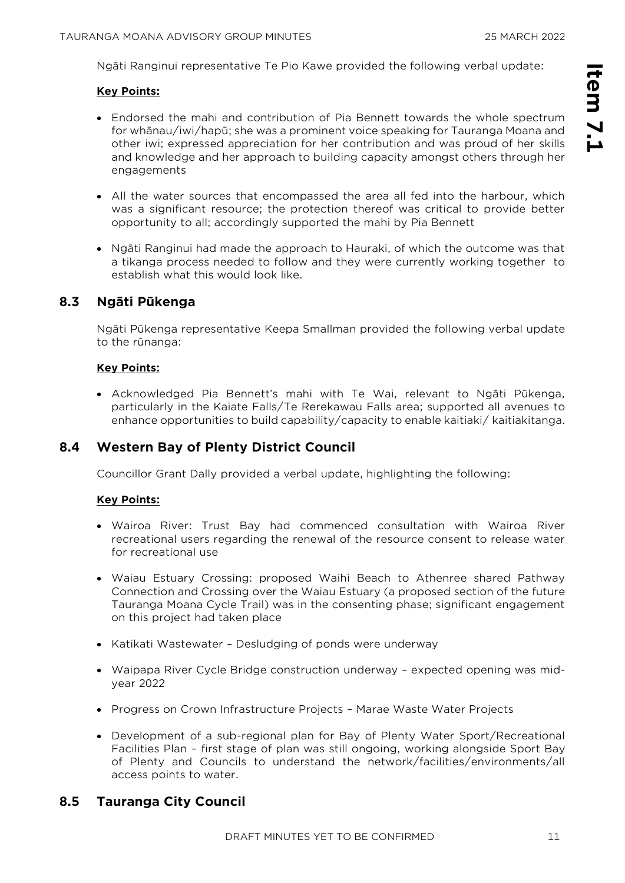**Item 7.1**

Item 7.1

Ngāti Ranginui representative Te Pio Kawe provided the following verbal update:

#### **Key Points:**

- Endorsed the mahi and contribution of Pia Bennett towards the whole spectrum for whānau/iwi/hapū; she was a prominent voice speaking for Tauranga Moana and other iwi; expressed appreciation for her contribution and was proud of her skills and knowledge and her approach to building capacity amongst others through her engagements
- All the water sources that encompassed the area all fed into the harbour, which was a significant resource; the protection thereof was critical to provide better opportunity to all; accordingly supported the mahi by Pia Bennett
- Ngāti Ranginui had made the approach to Hauraki, of which the outcome was that a tikanga process needed to follow and they were currently working together to establish what this would look like.

#### **8.3 Ngāti Pūkenga**

Ngāti Pūkenga representative Keepa Smallman provided the following verbal update to the rūnanga:

#### **Key Points:**

• Acknowledged Pia Bennett's mahi with Te Wai, relevant to Ngāti Pūkenga, particularly in the Kaiate Falls/Te Rerekawau Falls area; supported all avenues to enhance opportunities to build capability/capacity to enable kaitiaki/ kaitiakitanga.

#### **8.4 Western Bay of Plenty District Council**

Councillor Grant Dally provided a verbal update, highlighting the following:

#### **Key Points:**

- Wairoa River: Trust Bay had commenced consultation with Wairoa River recreational users regarding the renewal of the resource consent to release water for recreational use
- Waiau Estuary Crossing: proposed Waihi Beach to Athenree shared Pathway Connection and Crossing over the Waiau Estuary (a proposed section of the future Tauranga Moana Cycle Trail) was in the consenting phase; significant engagement on this project had taken place
- Katikati Wastewater Desludging of ponds were underway
- Waipapa River Cycle Bridge construction underway expected opening was midyear 2022
- Progress on Crown Infrastructure Projects Marae Waste Water Projects
- Development of a sub-regional plan for Bay of Plenty Water Sport/Recreational Facilities Plan – first stage of plan was still ongoing, working alongside Sport Bay of Plenty and Councils to understand the network/facilities/environments/all access points to water.

#### **8.5 Tauranga City Council**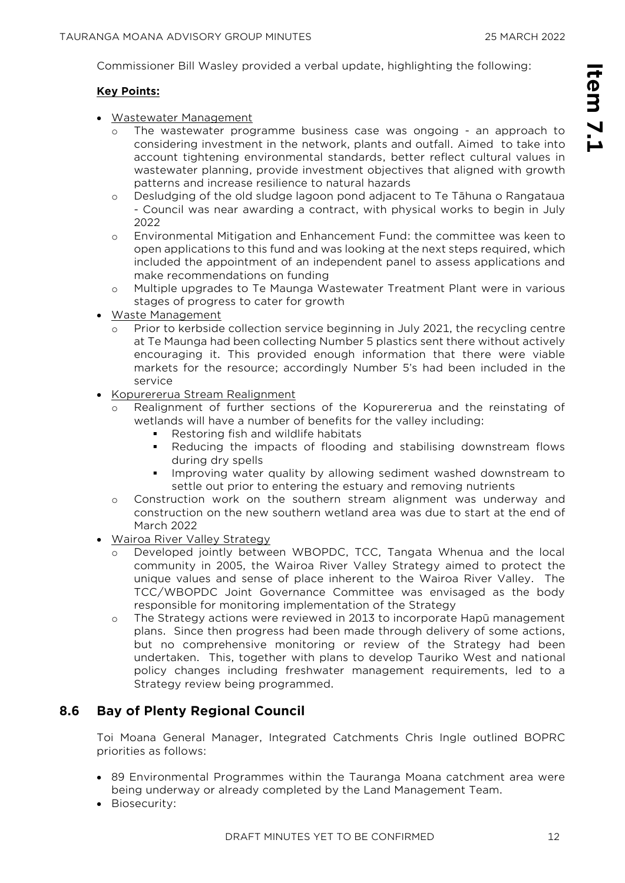Commissioner Bill Wasley provided a verbal update, highlighting the following:

#### **Key Points:**

- Wastewater Management
	- o The wastewater programme business case was ongoing an approach to considering investment in the network, plants and outfall. Aimed to take into account tightening environmental standards, better reflect cultural values in wastewater planning, provide investment objectives that aligned with growth patterns and increase resilience to natural hazards
	- o Desludging of the old sludge lagoon pond adjacent to Te Tāhuna o Rangataua - Council was near awarding a contract, with physical works to begin in July 2022
	- o Environmental Mitigation and Enhancement Fund: the committee was keen to open applications to this fund and was looking at the next steps required, which included the appointment of an independent panel to assess applications and make recommendations on funding
	- o Multiple upgrades to Te Maunga Wastewater Treatment Plant were in various stages of progress to cater for growth
- Waste Management
	- Prior to kerbside collection service beginning in July 2021, the recycling centre at Te Maunga had been collecting Number 5 plastics sent there without actively encouraging it. This provided enough information that there were viable markets for the resource; accordingly Number 5's had been included in the service
- Kopurererua Stream Realignment
	- Realignment of further sections of the Kopurererua and the reinstating of wetlands will have a number of benefits for the valley including:
		- Restoring fish and wildlife habitats
		- Reducing the impacts of flooding and stabilising downstream flows during dry spells
		- **.** Improving water quality by allowing sediment washed downstream to settle out prior to entering the estuary and removing nutrients
	- o Construction work on the southern stream alignment was underway and construction on the new southern wetland area was due to start at the end of March 2022
- Wairoa River Valley Strategy
	- Developed jointly between WBOPDC, TCC, Tangata Whenua and the local community in 2005, the Wairoa River Valley Strategy aimed to protect the unique values and sense of place inherent to the Wairoa River Valley. The TCC/WBOPDC Joint Governance Committee was envisaged as the body responsible for monitoring implementation of the Strategy
	- o The Strategy actions were reviewed in 2013 to incorporate Hapū management plans. Since then progress had been made through delivery of some actions, but no comprehensive monitoring or review of the Strategy had been undertaken. This, together with plans to develop Tauriko West and national policy changes including freshwater management requirements, led to a Strategy review being programmed.

#### **8.6 Bay of Plenty Regional Council**

Toi Moana General Manager, Integrated Catchments Chris Ingle outlined BOPRC priorities as follows:

- 89 Environmental Programmes within the Tauranga Moana catchment area were being underway or already completed by the Land Management Team.
- Biosecurity: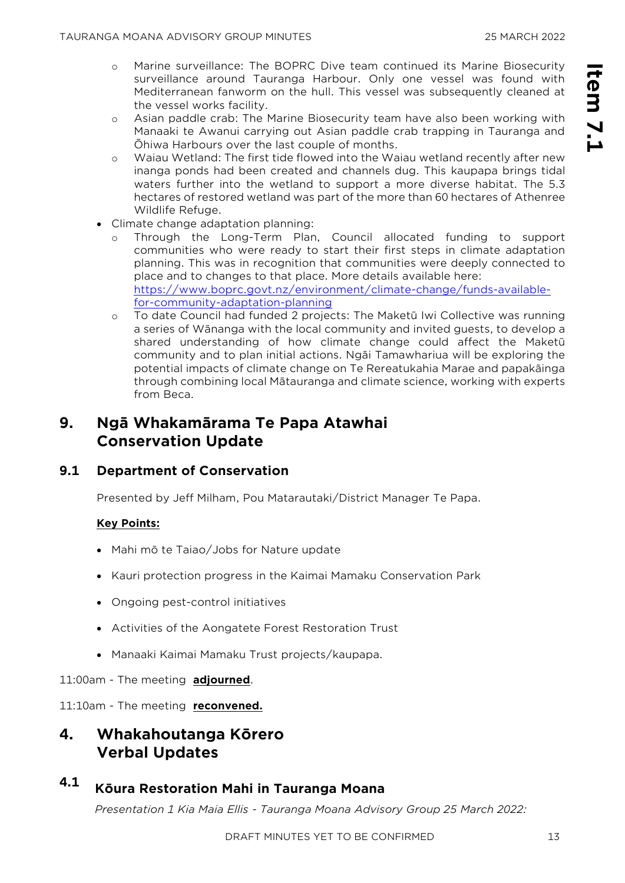- o Marine surveillance: The BOPRC Dive team continued its Marine Biosecurity surveillance around Tauranga Harbour. Only one vessel was found with Mediterranean fanworm on the hull. This vessel was subsequently cleaned at the vessel works facility.
- o Asian paddle crab: The Marine Biosecurity team have also been working with Manaaki te Awanui carrying out Asian paddle crab trapping in Tauranga and Ōhiwa Harbours over the last couple of months.
- o Waiau Wetland: The first tide flowed into the Waiau wetland recently after new inanga ponds had been created and channels dug. This kaupapa brings tidal waters further into the wetland to support a more diverse habitat. The 5.3 hectares of restored wetland was part of the more than 60 hectares of Athenree Wildlife Refuge.
- Climate change adaptation planning:
	- o Through the Long-Term Plan, Council allocated funding to support communities who were ready to start their first steps in climate adaptation planning. This was in recognition that communities were deeply connected to place and to changes to that place. More details available here: [https://www.boprc.govt.nz/environment/climate-change/funds-available](https://www.boprc.govt.nz/environment/climate-change/funds-available-for-community-adaptation-planning)[for-community-adaptation-planning](https://www.boprc.govt.nz/environment/climate-change/funds-available-for-community-adaptation-planning)
	- [o](https://www.boprc.govt.nz/environment/climate-change/funds-available-for-community-adaptation-planning) To date Council had funded 2 projects: The Maketū Iwi Collective was running a series of Wānanga with the local community and invited guests, to develop a shared understanding of how climate change could affect the Maketū community and to plan initial actions. Ngāi Tamawhariua will be exploring the potential impacts of climate change on Te Rereatukahia Marae and papakāinga through combining local Mātauranga and climate science, working with experts from Beca.

# **9. Ngā Whakamārama Te Papa Atawhai Conservation Update**

#### **9.1 Department of Conservation**

Presented by Jeff Milham, Pou Matarautaki/District Manager Te Papa.

#### **Key Points:**

- Mahi mō te Taiao/Jobs for Nature update
- Kauri protection progress in the Kaimai Mamaku Conservation Park
- Ongoing pest-control initiatives
- Activities of the Aongatete Forest Restoration Trust
- Manaaki Kaimai Mamaku Trust projects/kaupapa.

#### 11:00am - The meeting **adjourned**.

11:10am - The meeting **reconvened.** 

# **4. Whakahoutanga Kōrero Verbal Updates**

# **4.1 Kōura Restoration Mahi in Tauranga Moana**

*Presentation 1 Kia Maia Ellis - Tauranga Moana Advisory Group 25 March 2022:*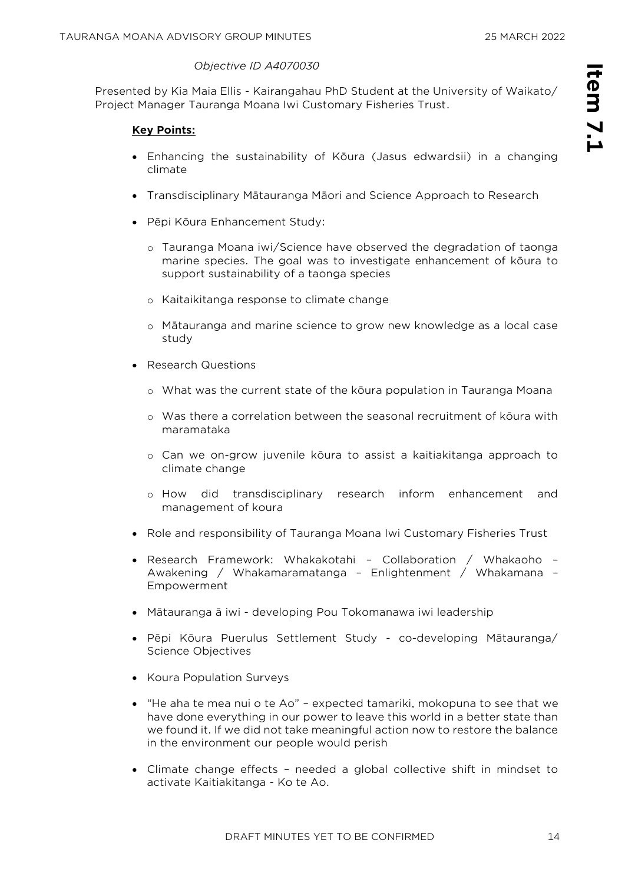#### *Objective ID A4070030*

Presented by Kia Maia Ellis - Kairangahau PhD Student at the University of Waikato/ Project Manager Tauranga Moana Iwi Customary Fisheries Trust.

#### **Key Points:**

- Enhancing the sustainability of Kōura (Jasus edwardsii) in a changing climate
- Transdisciplinary Mātauranga Māori and Science Approach to Research
- Pēpi Kōura Enhancement Study:
	- o Tauranga Moana iwi/Science have observed the degradation of taonga marine species. The goal was to investigate enhancement of kōura to support sustainability of a taonga species
	- o Kaitaikitanga response to climate change
	- o Mātauranga and marine science to grow new knowledge as a local case study
- Research Questions
	- o What was the current state of the kōura population in Tauranga Moana
	- o Was there a correlation between the seasonal recruitment of kōura with maramataka
	- o Can we on-grow juvenile kōura to assist a kaitiakitanga approach to climate change
	- o How did transdisciplinary research inform enhancement and management of koura
- Role and responsibility of Tauranga Moana Iwi Customary Fisheries Trust
- Research Framework: Whakakotahi Collaboration / Whakaoho Awakening / Whakamaramatanga – Enlightenment / Whakamana – Empowerment
- Mātauranga ā iwi developing Pou Tokomanawa iwi leadership
- Pēpi Kōura Puerulus Settlement Study co-developing Mātauranga/ Science Objectives
- Koura Population Surveys
- "He aha te mea nui o te Ao" expected tamariki, mokopuna to see that we have done everything in our power to leave this world in a better state than we found it. If we did not take meaningful action now to restore the balance in the environment our people would perish
- Climate change effects needed a global collective shift in mindset to activate Kaitiakitanga - Ko te Ao.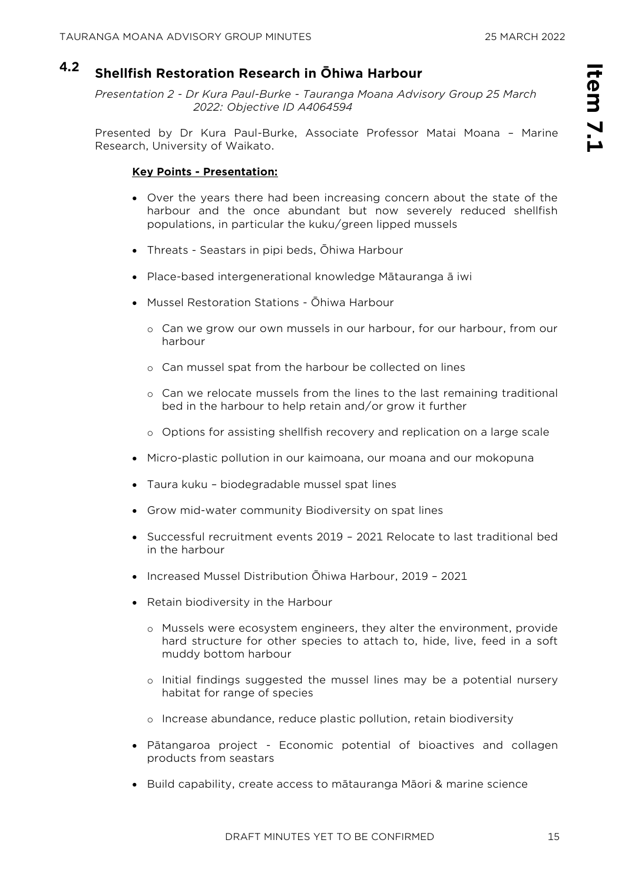# **4.2 Shellfish Restoration Research in Ōhiwa Harbour**

*Presentation 2 - Dr Kura Paul-Burke - Tauranga Moana Advisory Group 25 March 2022: Objective ID A4064594* 

Presented by Dr Kura Paul-Burke, Associate Professor Matai Moana – Marine Research, University of Waikato.

#### **Key Points - Presentation:**

- Over the years there had been increasing concern about the state of the harbour and the once abundant but now severely reduced shellfish populations, in particular the kuku/green lipped mussels
- Threats Seastars in pipi beds, Ōhiwa Harbour
- Place-based intergenerational knowledge Mātauranga ā iwi
- Mussel Restoration Stations Ōhiwa Harbour
	- o Can we grow our own mussels in our harbour, for our harbour, from our harbour
	- o Can mussel spat from the harbour be collected on lines
	- o Can we relocate mussels from the lines to the last remaining traditional bed in the harbour to help retain and/or grow it further
	- o Options for assisting shellfish recovery and replication on a large scale
- Micro-plastic pollution in our kaimoana, our moana and our mokopuna
- Taura kuku biodegradable mussel spat lines
- Grow mid-water community Biodiversity on spat lines
- Successful recruitment events 2019 2021 Relocate to last traditional bed in the harbour
- Increased Mussel Distribution Ōhiwa Harbour, 2019 2021
- Retain biodiversity in the Harbour
	- o Mussels were ecosystem engineers, they alter the environment, provide hard structure for other species to attach to, hide, live, feed in a soft muddy bottom harbour
	- o Initial findings suggested the mussel lines may be a potential nursery habitat for range of species
	- o Increase abundance, reduce plastic pollution, retain biodiversity
- Pātangaroa project Economic potential of bioactives and collagen products from seastars
- Build capability, create access to mātauranga Māori & marine science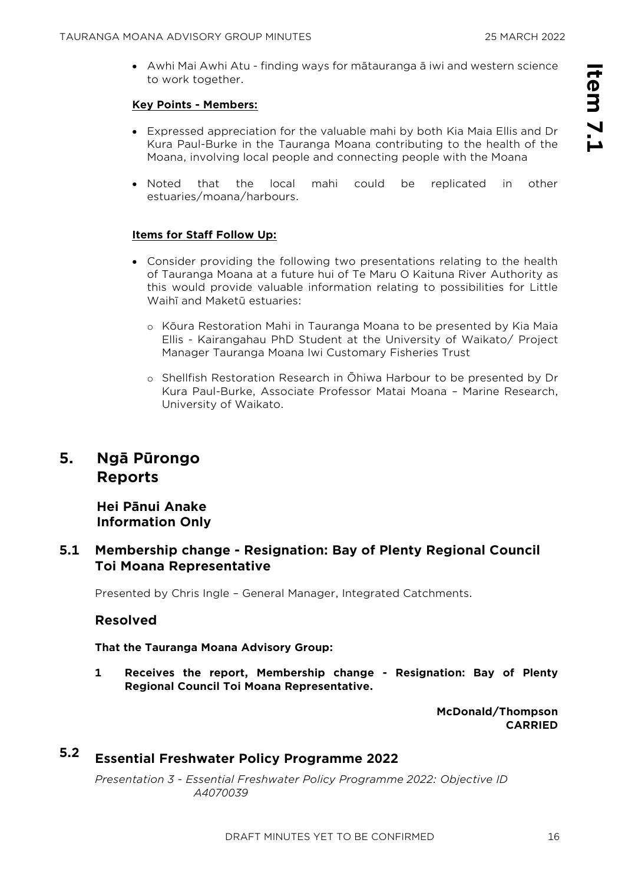• Awhi Mai Awhi Atu - finding ways for mātauranga ā iwi and western science to work together.

#### **Key Points - Members:**

- Expressed appreciation for the valuable mahi by both Kia Maia Ellis and Dr Kura Paul-Burke in the Tauranga Moana contributing to the health of the Moana, involving local people and connecting people with the Moana
- Noted that the local mahi could be replicated in other estuaries/moana/harbours.

#### **Items for Staff Follow Up:**

- Consider providing the following two presentations relating to the health of Tauranga Moana at a future hui of Te Maru O Kaituna River Authority as this would provide valuable information relating to possibilities for Little Waihī and Maketū estuaries:
	- o Kōura Restoration Mahi in Tauranga Moana to be presented by Kia Maia Ellis - Kairangahau PhD Student at the University of Waikato/ Project Manager Tauranga Moana Iwi Customary Fisheries Trust
	- o Shellfish Restoration Research in Ōhiwa Harbour to be presented by Dr Kura Paul-Burke, Associate Professor Matai Moana – Marine Research, University of Waikato.

## **5. Ngā Pūrongo Reports**

**Hei Pānui Anake Information Only**

#### **5.1 Membership change - Resignation: Bay of Plenty Regional Council Toi Moana Representative**

Presented by Chris Ingle – General Manager, Integrated Catchments.

#### **Resolved**

**That the Tauranga Moana Advisory Group:**

**1 Receives the report, Membership change - Resignation: Bay of Plenty Regional Council Toi Moana Representative.**

> **McDonald/Thompson CARRIED**

# **5.2 Essential Freshwater Policy Programme 2022**

*Presentation 3 - Essential Freshwater Policy Programme 2022: Objective ID A4070039*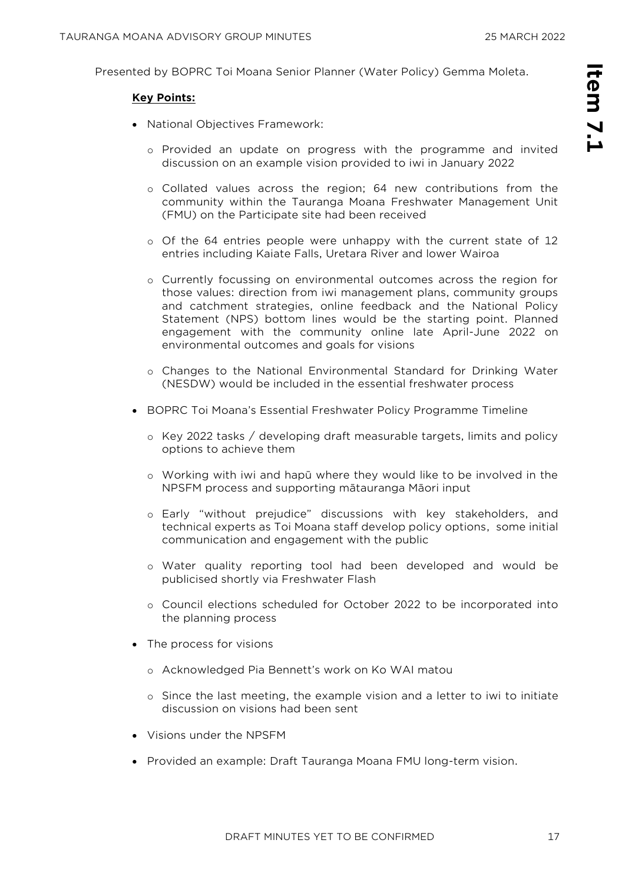Presented by BOPRC Toi Moana Senior Planner (Water Policy) Gemma Moleta.

#### **Key Points:**

- National Objectives Framework:
	- o Provided an update on progress with the programme and invited discussion on an example vision provided to iwi in January 2022
	- o Collated values across the region; 64 new contributions from the community within the Tauranga Moana Freshwater Management Unit (FMU) on the Participate site had been received
	- o Of the 64 entries people were unhappy with the current state of 12 entries including Kaiate Falls, Uretara River and lower Wairoa
	- o Currently focussing on environmental outcomes across the region for those values: direction from iwi management plans, community groups and catchment strategies, online feedback and the National Policy Statement (NPS) bottom lines would be the starting point. Planned engagement with the community online late April-June 2022 on environmental outcomes and goals for visions
	- o Changes to the National Environmental Standard for Drinking Water (NESDW) would be included in the essential freshwater process
- BOPRC Toi Moana's Essential Freshwater Policy Programme Timeline
	- o Key 2022 tasks / developing draft measurable targets, limits and policy options to achieve them
	- o Working with iwi and hapū where they would like to be involved in the NPSFM process and supporting mātauranga Māori input
	- o Early "without prejudice" discussions with key stakeholders, and technical experts as Toi Moana staff develop policy options, some initial communication and engagement with the public
	- o Water quality reporting tool had been developed and would be publicised shortly via Freshwater Flash
	- o Council elections scheduled for October 2022 to be incorporated into the planning process
- The process for visions
	- o Acknowledged Pia Bennett's work on Ko WAI matou
	- o Since the last meeting, the example vision and a letter to iwi to initiate discussion on visions had been sent
- Visions under the NPSFM
- Provided an example: Draft Tauranga Moana FMU long-term vision.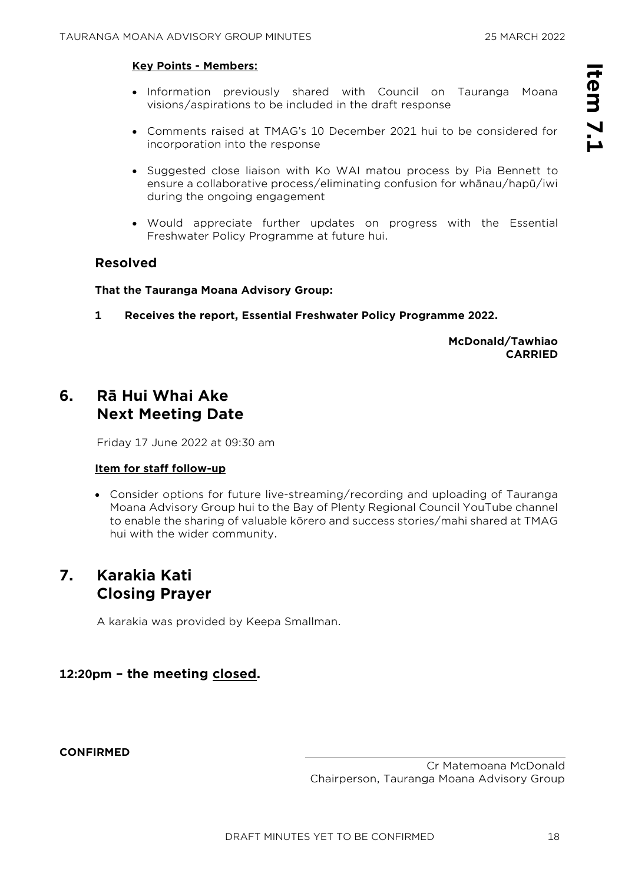#### **Key Points - Members:**

- Information previously shared with Council on Tauranga Moana visions/aspirations to be included in the draft response
- Comments raised at TMAG's 10 December 2021 hui to be considered for incorporation into the response
- Suggested close liaison with Ko WAI matou process by Pia Bennett to ensure a collaborative process/eliminating confusion for whānau/hapū/iwi during the ongoing engagement
- Would appreciate further updates on progress with the Essential Freshwater Policy Programme at future hui.

#### **Resolved**

#### **That the Tauranga Moana Advisory Group:**

**1 Receives the report, Essential Freshwater Policy Programme 2022.**

**McDonald/Tawhiao CARRIED**

# **6. Rā Hui Whai Ake Next Meeting Date**

Friday 17 June 2022 at 09:30 am

#### **Item for staff follow-up**

• Consider options for future live-streaming/recording and uploading of Tauranga Moana Advisory Group hui to the Bay of Plenty Regional Council YouTube channel to enable the sharing of valuable kōrero and success stories/mahi shared at TMAG hui with the wider community.

# **7. Karakia Kati Closing Prayer**

A karakia was provided by Keepa Smallman.

#### **12:20pm – the meeting closed.**

**CONFIRMED** 

Cr Matemoana McDonald Chairperson, Tauranga Moana Advisory Group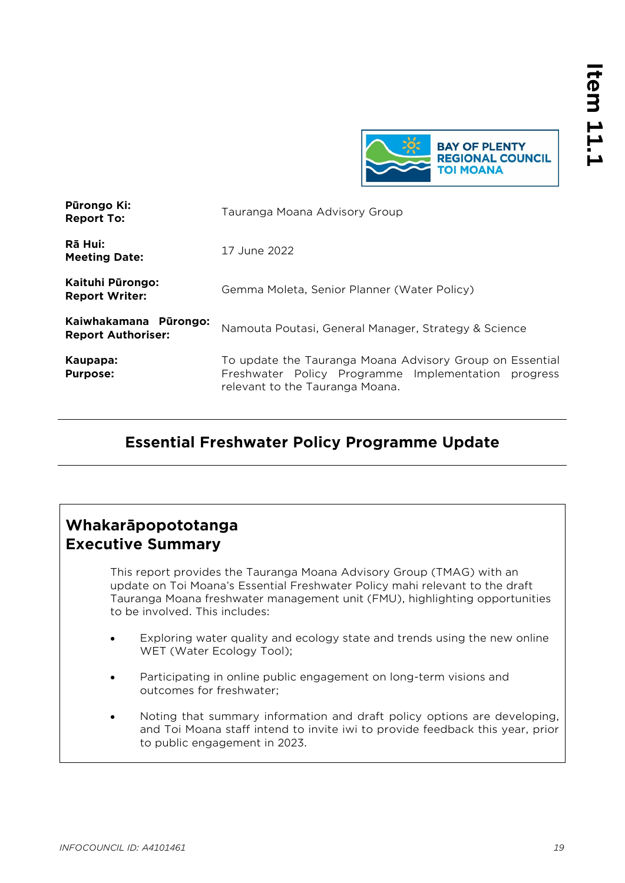

<span id="page-18-0"></span>

| Pūrongo Ki:<br><b>Report To:</b>                   | Tauranga Moana Advisory Group                                                                                                                      |
|----------------------------------------------------|----------------------------------------------------------------------------------------------------------------------------------------------------|
| Rā Hui:<br><b>Meeting Date:</b>                    | 17 June 2022                                                                                                                                       |
| Kaituhi Pūrongo:<br><b>Report Writer:</b>          | Gemma Moleta, Senior Planner (Water Policy)                                                                                                        |
| Kaiwhakamana Pūrongo:<br><b>Report Authoriser:</b> | Namouta Poutasi, General Manager, Strategy & Science                                                                                               |
| Kaupapa:<br><b>Purpose:</b>                        | To update the Tauranga Moana Advisory Group on Essential<br>Freshwater Policy Programme Implementation progress<br>relevant to the Tauranga Moana. |

# **Essential Freshwater Policy Programme Update**

# **Whakarāpopototanga Executive Summary**

This report provides the Tauranga Moana Advisory Group (TMAG) with an update on Toi Moana's Essential Freshwater Policy mahi relevant to the draft Tauranga Moana freshwater management unit (FMU), highlighting opportunities to be involved. This includes:

- Exploring water quality and ecology state and trends using the new online WET (Water Ecology Tool);
- Participating in online public engagement on long-term visions and outcomes for freshwater;
- Noting that summary information and draft policy options are developing, and Toi Moana staff intend to invite iwi to provide feedback this year, prior to public engagement in 2023.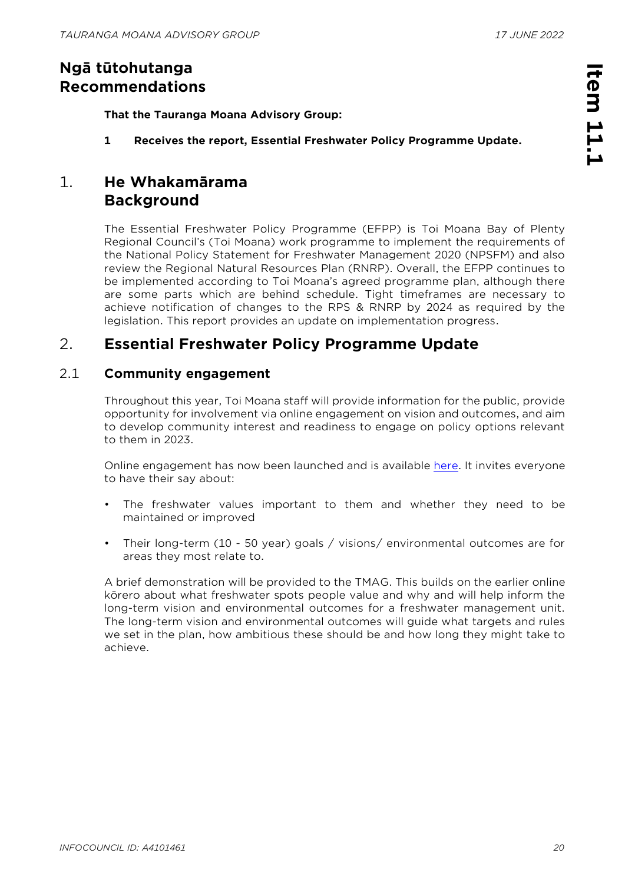# **Ngā tūtohutanga Recommendations**

**That the Tauranga Moana Advisory Group:**

**1 Receives the report, Essential Freshwater Policy Programme Update.**

# 1. **He Whakamārama Background**

The Essential Freshwater Policy Programme (EFPP) is Toi Moana Bay of Plenty Regional Council's (Toi Moana) work programme to implement the requirements of the National Policy Statement for Freshwater Management 2020 (NPSFM) and also review the Regional Natural Resources Plan (RNRP). Overall, the EFPP continues to be implemented according to Toi Moana's agreed programme plan, although there are some parts which are behind schedule. Tight timeframes are necessary to achieve notification of changes to the RPS & RNRP by 2024 as required by the legislation. This report provides an update on implementation progress.

# 2. **Essential Freshwater Policy Programme Update**

#### 2.1 **Community engagement**

Throughout this year, Toi Moana staff will provide information for the public, provide opportunity for involvement via online engagement on vision and outcomes, and aim to develop community interest and readiness to engage on policy options relevant to them in 2023.

Online engagement has now been launched and is available [here.](https://www.participate.boprc.govt.nz/vision-and-outcomes) It invites everyone to have their say about:

- The freshwater values important to them and whether they need to be maintained or improved
- Their long-term (10 50 year) goals / visions/ environmental outcomes are for areas they most relate to.

A brief demonstration will be provided to the TMAG. This builds on the earlier online kōrero about what freshwater spots people value and why and will help inform the long-term vision and environmental outcomes for a freshwater management unit. The long-term vision and environmental outcomes will guide what targets and rules we set in the plan, how ambitious these should be and how long they might take to achieve.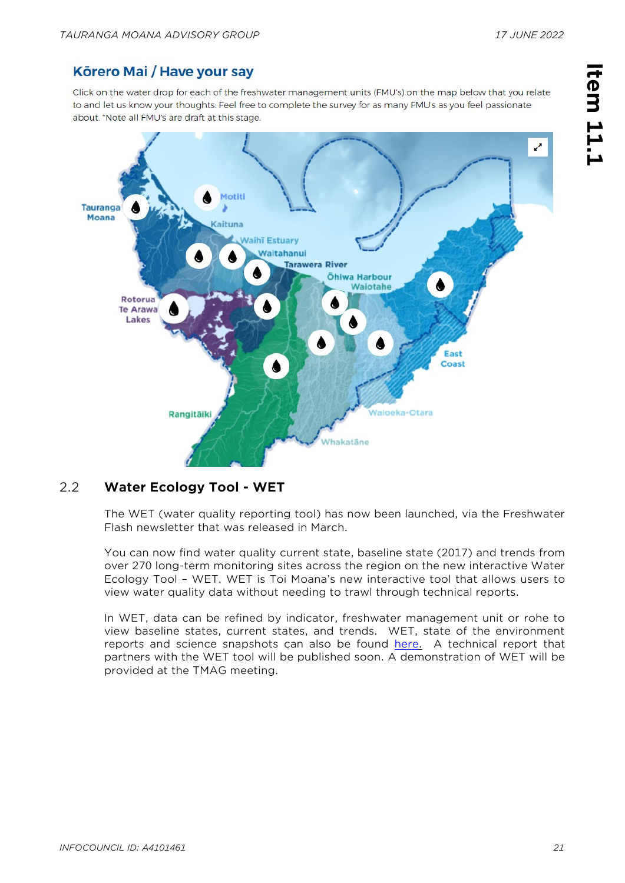### Körero Mai / Have your say

Click on the water drop for each of the freshwater management units (FMU's) on the map below that you relate to and let us know your thoughts. Feel free to complete the survey for as many FMU's as you feel passionate about. \*Note all FMU's are draft at this stage.



#### 2.2 **Water Ecology Tool - WET**

The WET (water quality reporting tool) has now been launched, via the Freshwater Flash newsletter that was released in March.

You can now find water quality current state, baseline state (2017) and trends from over 270 long-term monitoring sites across the region on the new interactive Water Ecology Tool – WET. WET is Toi Moana's new interactive tool that allows users to view water quality data without needing to trawl through technical reports.

In WET, data can be refined by indicator, freshwater management unit or rohe to view baseline states, current states, and trends. WET, state of the environment reports and science snapshots can also be found [here.](https://envdata.boprc.govt.nz/Data/Dashboard/112) A technical report that partners with the WET tool will be published soon. A demonstration of WET will be provided at the TMAG meeting.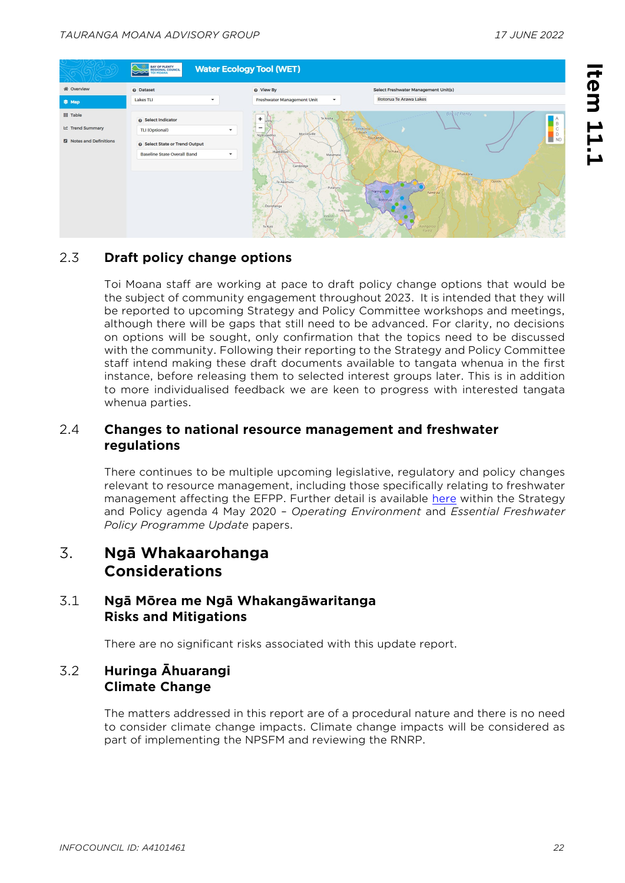

#### 2.3 **Draft policy change options**

Toi Moana staff are working at pace to draft policy change options that would be the subject of community engagement throughout 2023. It is intended that they will be reported to upcoming Strategy and Policy Committee workshops and meetings, although there will be gaps that still need to be advanced. For clarity, no decisions on options will be sought, only confirmation that the topics need to be discussed with the community. Following their reporting to the Strategy and Policy Committee staff intend making these draft documents available to tangata whenua in the first instance, before releasing them to selected interest groups later. This is in addition to more individualised feedback we are keen to progress with interested tangata whenua parties.

#### 2.4 **Changes to national resource management and freshwater regulations**

There continues to be multiple upcoming legislative, regulatory and policy changes relevant to resource management, including those specifically relating to freshwater management affecting the EFPP. Further detail is available [here](https://www.boprc.govt.nz/your-council/meetings-and-agendas/agendas-and-minutes) within the Strategy and Policy agenda 4 May 2020 – *Operating Environment* and *Essential Freshwater Policy Programme Update* papers.

# 3. **Ngā Whakaarohanga Considerations**

#### 3.1 **Ngā Mōrea me Ngā Whakangāwaritanga Risks and Mitigations**

There are no significant risks associated with this update report.

#### 3.2 **Huringa Āhuarangi Climate Change**

The matters addressed in this report are of a procedural nature and there is no need to consider climate change impacts. Climate change impacts will be considered as part of implementing the NPSFM and reviewing the RNRP.